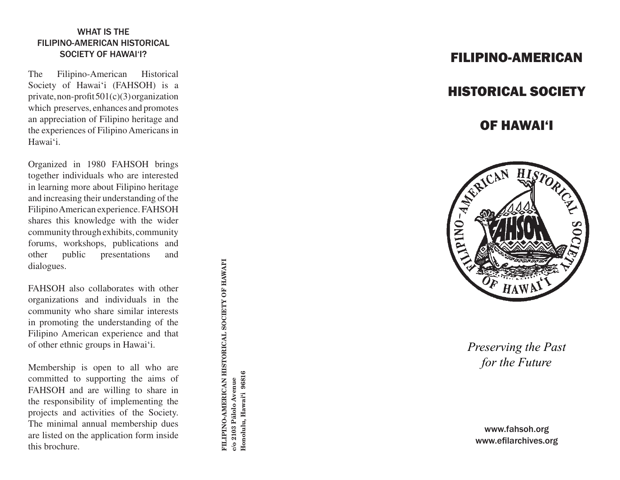## WHAT IS THE FILIPINO-AMERICAN HISTORICAL SOCIETY OF HAWAI'I?

The Filipino-American Historical Society of Hawai 'i (FAHSOH) is a private, non-profit  $501(c)(3)$  organization which preserves, enhances and promotes an appreciation of Filipino heritage and the experiences of Filipino Americans in Hawai 'i.

Organized in 1980 FAHSOH brings together individuals who are interested in learning more about Filipino heritage and increasing their understanding of the Filipino American experience. FAHSOH shares this knowledge with the wider community through exhibits, community forums, workshops, publications and other public presentations and dialogues.

FAHSOH also collaborates with other organizations and individuals in the community who share similar interests in promoting the understanding of the Filipino American experience and that of other ethnic groups in Hawai 'i.

Membership is open to all who are committed to supporting the aims of FAHSOH and are willing to share in the responsibility of implementing the projects and activities of the Society. The minimal annual membership dues are listed on the application form inside this brochure.

FILIPINO-AMERICAN HISTORICAL SOCIETY OF HAWAIT **FILIPINO-AMERICAN HISTORICAL SOCIETY OF HAWAI'I** Honolulu, Hawai'i 96816 **Honolulu, Hawai'i 96816** c/o 2103 Palolo Avenue **c/o 2103 Pälolo Avenue**

# FILIPINO-AMERICAN

# HISTORICAL SOCIETY

# OF HAWAI'I



*Preserving the Past for the Future*

www.fahsoh.org www.efilarchives.org